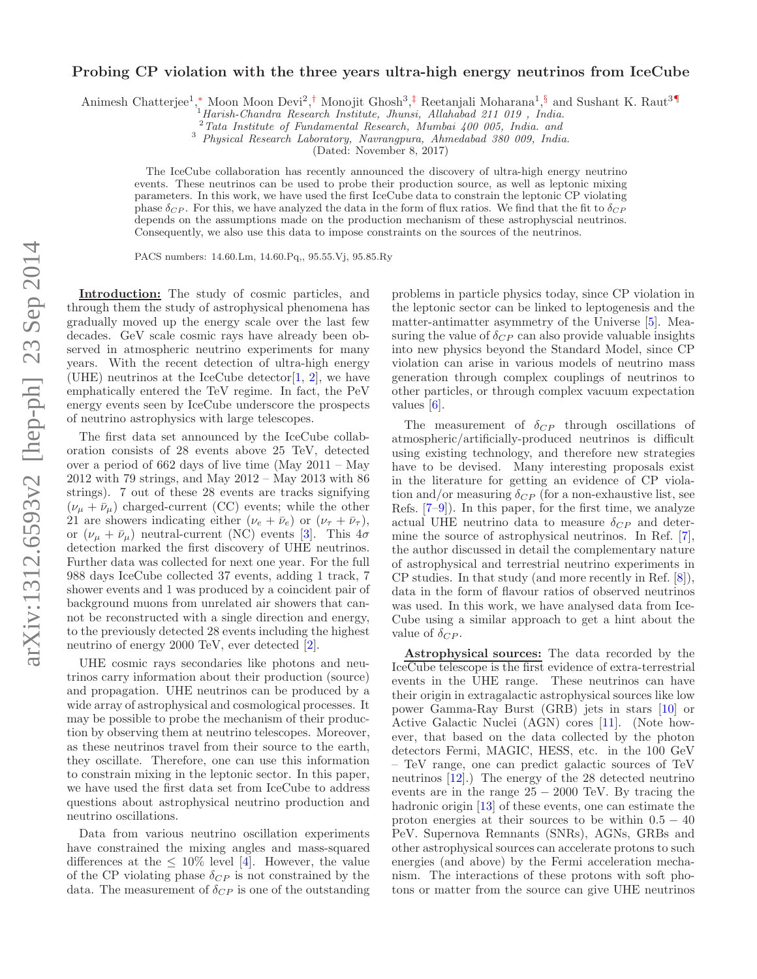## Probing CP violation with the three years ultra-high energy neutrinos from IceCube

Animesh Chatterjee<sup>1</sup>,\* Moon Moon Devi<sup>2</sup>,<sup>†</sup> Monojit Ghosh<sup>3</sup>,<sup>‡</sup> Reetanjali Moharana<sup>1</sup>,<sup>§</sup> and Sushant K. Raut<sup>3¶</sup>

 $^{1}$ Harish-Chandra Research Institute, Jhunsi, Allahabad 211 019, India.

 $2$ Tata Institute of Fundamental Research, Mumbai 400 005, India. and

<sup>3</sup> Physical Research Laboratory, Navrangpura, Ahmedabad 380 009, India.

(Dated: November 8, 2017)

The IceCube collaboration has recently announced the discovery of ultra-high energy neutrino events. These neutrinos can be used to probe their production source, as well as leptonic mixing parameters. In this work, we have used the first IceCube data to constrain the leptonic CP violating phase  $\delta_{CP}$ . For this, we have analyzed the data in the form of flux ratios. We find that the fit to  $\delta_{CP}$ depends on the assumptions made on the production mechanism of these astrophyscial neutrinos. Consequently, we also use this data to impose constraints on the sources of the neutrinos.

PACS numbers: 14.60.Lm, 14.60.Pq,, 95.55.Vj, 95.85.Ry

Introduction: The study of cosmic particles, and through them the study of astrophysical phenomena has gradually moved up the energy scale over the last few decades. GeV scale cosmic rays have already been observed in atmospheric neutrino experiments for many years. With the recent detection of ultra-high energy (UHE) neutrinos at the IceCube detector  $[1, 2]$ , we have emphatically entered the TeV regime. In fact, the PeV energy events seen by IceCube underscore the prospects of neutrino astrophysics with large telescopes.

The first data set announced by the IceCube collaboration consists of 28 events above 25 TeV, detected over a period of 662 days of live time (May 2011 – May 2012 with 79 strings, and May 2012 – May 2013 with 86 strings). 7 out of these 28 events are tracks signifying  $(\nu_{\mu} + \bar{\nu}_{\mu})$  charged-current (CC) events; while the other 21 are showers indicating either  $(\nu_e + \bar{\nu}_e)$  or  $(\nu_{\tau} + \bar{\nu}_{\tau}),$ or  $(\nu_{\mu} + \bar{\nu}_{\mu})$  neutral-current (NC) events [3]. This  $4\sigma$ detection marked the first discovery of UHE neutrinos. Further data was collected for next one year. For the full 988 days IceCube collected 37 events, adding 1 track, 7 shower events and 1 was produced by a coincident pair of background muons from unrelated air showers that cannot be reconstructed with a single direction and energy, to the previously detected 28 events including the highest neutrino of energy 2000 TeV, ever detected [2].

UHE cosmic rays secondaries like photons and neutrinos carry information about their production (source) and propagation. UHE neutrinos can be produced by a wide array of astrophysical and cosmological processes. It may be possible to probe the mechanism of their production by observing them at neutrino telescopes. Moreover, as these neutrinos travel from their source to the earth, they oscillate. Therefore, one can use this information to constrain mixing in the leptonic sector. In this paper, we have used the first data set from IceCube to address questions about astrophysical neutrino production and neutrino oscillations.

Data from various neutrino oscillation experiments have constrained the mixing angles and mass-squared differences at the  $\leq 10\%$  level [4]. However, the value of the CP violating phase  $\delta_{CP}$  is not constrained by the data. The measurement of  $\delta_{CP}$  is one of the outstanding

problems in particle physics today, since CP violation in the leptonic sector can be linked to leptogenesis and the matter-antimatter asymmetry of the Universe [5]. Measuring the value of  $\delta_{CP}$  can also provide valuable insights into new physics beyond the Standard Model, since CP violation can arise in various models of neutrino mass generation through complex couplings of neutrinos to other particles, or through complex vacuum expectation values [6].

The measurement of  $\delta_{CP}$  through oscillations of atmospheric/artificially-produced neutrinos is difficult using existing technology, and therefore new strategies have to be devised. Many interesting proposals exist in the literature for getting an evidence of CP violation and/or measuring  $\delta_{CP}$  (for a non-exhaustive list, see Refs. [7–9]). In this paper, for the first time, we analyze actual UHE neutrino data to measure  $\delta_{CP}$  and determine the source of astrophysical neutrinos. In Ref. [7], the author discussed in detail the complementary nature of astrophysical and terrestrial neutrino experiments in CP studies. In that study (and more recently in Ref. [8]), data in the form of flavour ratios of observed neutrinos was used. In this work, we have analysed data from Ice-Cube using a similar approach to get a hint about the value of  $\delta_{CP}$ .

Astrophysical sources: The data recorded by the IceCube telescope is the first evidence of extra-terrestrial events in the UHE range. These neutrinos can have their origin in extragalactic astrophysical sources like low power Gamma-Ray Burst (GRB) jets in stars [10] or Active Galactic Nuclei (AGN) cores [11]. (Note however, that based on the data collected by the photon detectors Fermi, MAGIC, HESS, etc. in the 100 GeV – TeV range, one can predict galactic sources of TeV neutrinos [12].) The energy of the 28 detected neutrino events are in the range  $25 - 2000$  TeV. By tracing the hadronic origin [13] of these events, one can estimate the proton energies at their sources to be within  $0.5 - 40$ PeV. Supernova Remnants (SNRs), AGNs, GRBs and other astrophysical sources can accelerate protons to such energies (and above) by the Fermi acceleration mechanism. The interactions of these protons with soft photons or matter from the source can give UHE neutrinos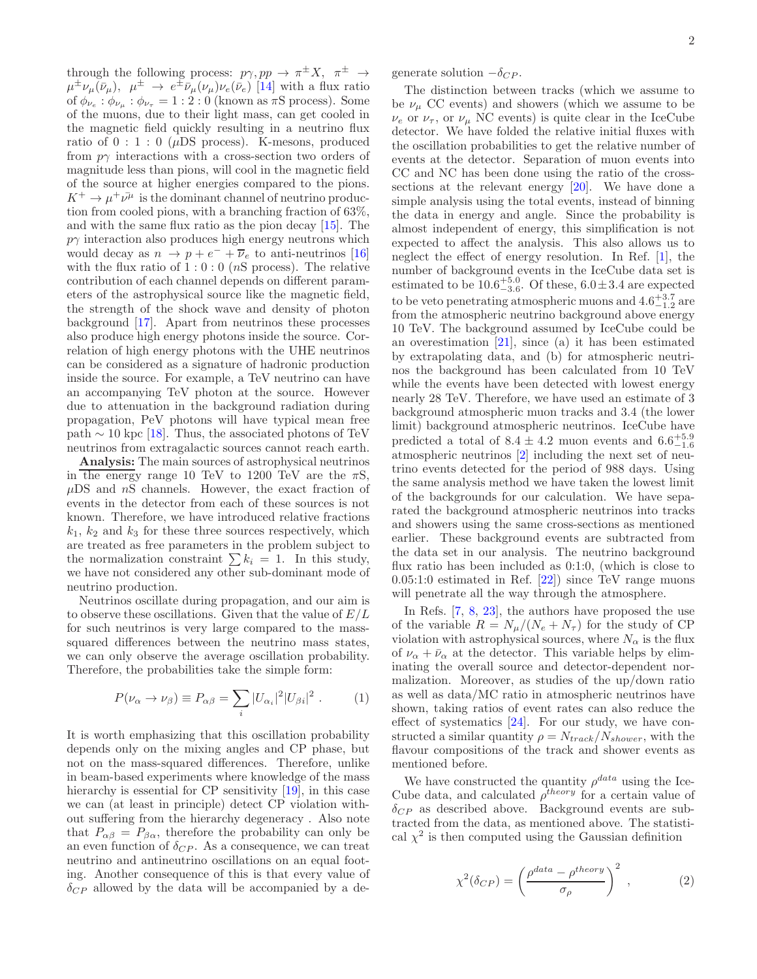through the following process:  $p\gamma, pp \rightarrow \pi^{\pm} X, \pi^{\pm} \rightarrow$  $\mu^{\pm} \nu_{\mu}(\bar{\nu}_{\mu}), \mu^{\pm} \rightarrow e^{\pm} \bar{\nu}_{\mu}(\nu_{\mu}) \nu_{e}(\bar{\nu}_{e})$  [14] with a flux ratio of  $\phi_{\nu_e} : \phi_{\nu_\mu} : \phi_{\nu_\tau} = 1 : 2 : 0$  (known as  $\pi S$  process). Some of the muons, due to their light mass, can get cooled in the magnetic field quickly resulting in a neutrino flux ratio of  $0:1:0$  ( $\mu$ DS process). K-mesons, produced from  $p\gamma$  interactions with a cross-section two orders of magnitude less than pions, will cool in the magnetic field of the source at higher energies compared to the pions.  $K^+ \to \mu^+ \bar{\nu^{\mu}}$  is the dominant channel of neutrino production from cooled pions, with a branching fraction of 63%, and with the same flux ratio as the pion decay [15]. The  $p\gamma$  interaction also produces high energy neutrons which would decay as  $n \to p + e^- + \overline{\nu}_e$  to anti-neutrinos [16] with the flux ratio of  $1:0:0$  (*nS* process). The relative contribution of each channel depends on different parameters of the astrophysical source like the magnetic field, the strength of the shock wave and density of photon background [17]. Apart from neutrinos these processes also produce high energy photons inside the source. Correlation of high energy photons with the UHE neutrinos can be considered as a signature of hadronic production inside the source. For example, a TeV neutrino can have an accompanying TeV photon at the source. However due to attenuation in the background radiation during propagation, PeV photons will have typical mean free path  $\sim$  10 kpc [18]. Thus, the associated photons of TeV neutrinos from extragalactic sources cannot reach earth.

Analysis: The main sources of astrophysical neutrinos in the energy range 10 TeV to 1200 TeV are the  $\pi S$ ,  $\mu$ DS and  $nS$  channels. However, the exact fraction of events in the detector from each of these sources is not known. Therefore, we have introduced relative fractions  $k_1, k_2$  and  $k_3$  for these three sources respectively, which are treated as free parameters in the problem subject to the normalization constraint  $\sum k_i = 1$ . In this study, we have not considered any other sub-dominant mode of neutrino production.

Neutrinos oscillate during propagation, and our aim is to observe these oscillations. Given that the value of  $E/L$ for such neutrinos is very large compared to the masssquared differences between the neutrino mass states, we can only observe the average oscillation probability. Therefore, the probabilities take the simple form:

$$
P(\nu_{\alpha} \to \nu_{\beta}) \equiv P_{\alpha\beta} = \sum_{i} |U_{\alpha_i}|^2 |U_{\beta i}|^2 . \qquad (1)
$$

It is worth emphasizing that this oscillation probability depends only on the mixing angles and CP phase, but not on the mass-squared differences. Therefore, unlike in beam-based experiments where knowledge of the mass hierarchy is essential for CP sensitivity [19], in this case we can (at least in principle) detect CP violation without suffering from the hierarchy degeneracy . Also note that  $P_{\alpha\beta} = P_{\beta\alpha}$ , therefore the probability can only be an even function of  $\delta_{CP}$ . As a consequence, we can treat neutrino and antineutrino oscillations on an equal footing. Another consequence of this is that every value of  $\delta_{CP}$  allowed by the data will be accompanied by a degenerate solution  $-\delta_{CP}$ .

The distinction between tracks (which we assume to be  $\nu_{\mu}$  CC events) and showers (which we assume to be  $\nu_e$  or  $\nu_\tau$ , or  $\nu_\mu$  NC events) is quite clear in the IceCube detector. We have folded the relative initial fluxes with the oscillation probabilities to get the relative number of events at the detector. Separation of muon events into CC and NC has been done using the ratio of the crosssections at the relevant energy [20]. We have done a simple analysis using the total events, instead of binning the data in energy and angle. Since the probability is almost independent of energy, this simplification is not expected to affect the analysis. This also allows us to neglect the effect of energy resolution. In Ref. [1], the number of background events in the IceCube data set is estimated to be  $10.6^{+5.0}_{-3.6}$ . Of these,  $6.0 \pm 3.4$  are expected to be veto penetrating atmospheric muons and  $4.6^{+3.7}_{-1.2}$  are from the atmospheric neutrino background above energy 10 TeV. The background assumed by IceCube could be an overestimation [21], since (a) it has been estimated by extrapolating data, and (b) for atmospheric neutrinos the background has been calculated from 10 TeV while the events have been detected with lowest energy nearly 28 TeV. Therefore, we have used an estimate of 3 background atmospheric muon tracks and 3.4 (the lower limit) background atmospheric neutrinos. IceCube have predicted a total of  $8.4 \pm 4.2$  muon events and  $6.6^{+5.9}_{-1.6}$ atmospheric neutrinos [2] including the next set of neutrino events detected for the period of 988 days. Using the same analysis method we have taken the lowest limit of the backgrounds for our calculation. We have separated the background atmospheric neutrinos into tracks and showers using the same cross-sections as mentioned earlier. These background events are subtracted from the data set in our analysis. The neutrino background flux ratio has been included as 0:1:0, (which is close to 0.05:1:0 estimated in Ref. [22]) since TeV range muons will penetrate all the way through the atmosphere.

In Refs. [7, 8, 23], the authors have proposed the use of the variable  $R = N_{\mu}/(N_e + N_{\tau})$  for the study of CP violation with astrophysical sources, where  $N_{\alpha}$  is the flux of  $\nu_{\alpha} + \bar{\nu}_{\alpha}$  at the detector. This variable helps by eliminating the overall source and detector-dependent normalization. Moreover, as studies of the up/down ratio as well as data/MC ratio in atmospheric neutrinos have shown, taking ratios of event rates can also reduce the effect of systematics [24]. For our study, we have constructed a similar quantity  $\rho = N_{track}/N_{shower}$ , with the flavour compositions of the track and shower events as mentioned before.

We have constructed the quantity  $\rho^{data}$  using the Ice-Cube data, and calculated  $\rho^{theory}$  for a certain value of  $\delta_{CP}$  as described above. Background events are subtracted from the data, as mentioned above. The statistical  $\chi^2$  is then computed using the Gaussian definition

$$
\chi^2(\delta_{CP}) = \left(\frac{\rho^{data} - \rho^{theory}}{\sigma_{\rho}}\right)^2 ,\qquad (2)
$$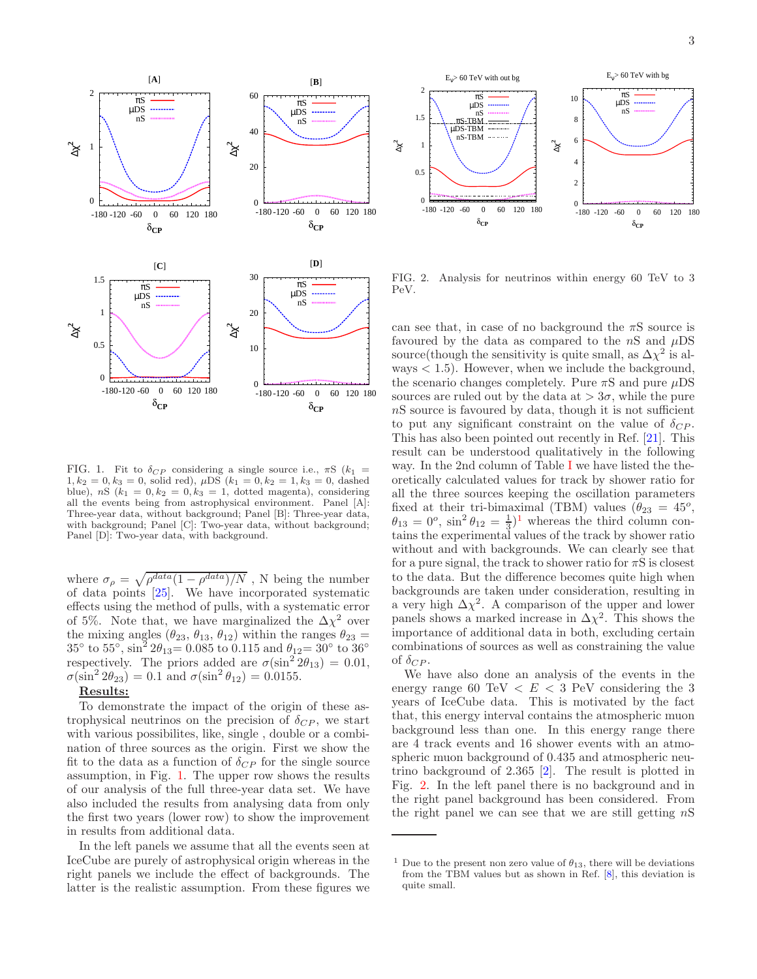

FIG. 1. Fit to  $\delta_{CP}$  considering a single source i.e.,  $\pi S$  ( $k_1$  =  $1, k_2 = 0, k_3 = 0$ , solid red),  $\mu DS (k_1 = 0, k_2 = 1, k_3 = 0,$  dashed blue), nS  $(k_1 = 0, k_2 = 0, k_3 = 1,$  dotted magenta), considering all the events being from astrophysical environment. Panel [A]: Three-year data, without background; Panel [B]: Three-year data, with background; Panel [C]: Two-year data, without background; Panel [D]: Two-year data, with background.

where  $\sigma_{\rho} = \sqrt{\rho^{data}(1-\rho^{data})/N}$ , N being the number of data points [25]. We have incorporated systematic effects using the method of pulls, with a systematic error of 5%. Note that, we have marginalized the  $\Delta \chi^2$  over the mixing angles  $(\theta_{23}, \theta_{13}, \theta_{12})$  within the ranges  $\theta_{23} =$ 35° to 55°,  $\sin^2 2\theta_{13} = 0.085$  to 0.115 and  $\theta_{12} = 30^\circ$  to 36° respectively. The priors added are  $\sigma(\sin^2 2\theta_{13}) = 0.01$ ,  $\sigma(\sin^2 2\theta_{23}) = 0.1$  and  $\sigma(\sin^2 \theta_{12}) = 0.0155$ .

## Results:

To demonstrate the impact of the origin of these astrophysical neutrinos on the precision of  $\delta_{CP}$ , we start with various possibilites, like, single , double or a combination of three sources as the origin. First we show the fit to the data as a function of  $\delta_{CP}$  for the single source assumption, in Fig. 1. The upper row shows the results of our analysis of the full three-year data set. We have also included the results from analysing data from only the first two years (lower row) to show the improvement in results from additional data.

In the left panels we assume that all the events seen at IceCube are purely of astrophysical origin whereas in the right panels we include the effect of backgrounds. The latter is the realistic assumption. From these figures we



FIG. 2. Analysis for neutrinos within energy 60 TeV to 3 PeV.

can see that, in case of no background the  $\pi S$  source is favoured by the data as compared to the  $nS$  and  $\mu DS$ source(though the sensitivity is quite small, as  $\Delta \chi^2$  is always  $\lt 1.5$ . However, when we include the background, the scenario changes completely. Pure  $\pi S$  and pure  $\mu DS$ sources are ruled out by the data at  $> 3\sigma$ , while the pure nS source is favoured by data, though it is not sufficient to put any significant constraint on the value of  $\delta_{CP}$ . This has also been pointed out recently in Ref. [21]. This result can be understood qualitatively in the following way. In the 2nd column of Table I we have listed the theoretically calculated values for track by shower ratio for all the three sources keeping the oscillation parameters fixed at their tri-bimaximal (TBM) values  $(\theta_{23} = 45^o,$  $\theta_{13} = 0^{\circ}$ ,  $\sin^2 \theta_{12} = \frac{1}{3}$  whereas the third column contains the experimental values of the track by shower ratio without and with backgrounds. We can clearly see that for a pure signal, the track to shower ratio for  $\pi S$  is closest to the data. But the difference becomes quite high when backgrounds are taken under consideration, resulting in a very high  $\Delta \chi^2$ . A comparison of the upper and lower panels shows a marked increase in  $\Delta \chi^2$ . This shows the importance of additional data in both, excluding certain combinations of sources as well as constraining the value of  $\delta_{CP}$ .

We have also done an analysis of the events in the energy range 60 TeV  $\lt E \lt 3$  PeV considering the 3 years of IceCube data. This is motivated by the fact that, this energy interval contains the atmospheric muon background less than one. In this energy range there are 4 track events and 16 shower events with an atmospheric muon background of 0.435 and atmospheric neutrino background of 2.365 [2]. The result is plotted in Fig. 2. In the left panel there is no background and in the right panel background has been considered. From the right panel we can see that we are still getting  $nS$ 

<sup>&</sup>lt;sup>1</sup> Due to the present non zero value of  $\theta_{13}$ , there will be deviations from the TBM values but as shown in Ref. [8], this deviation is quite small.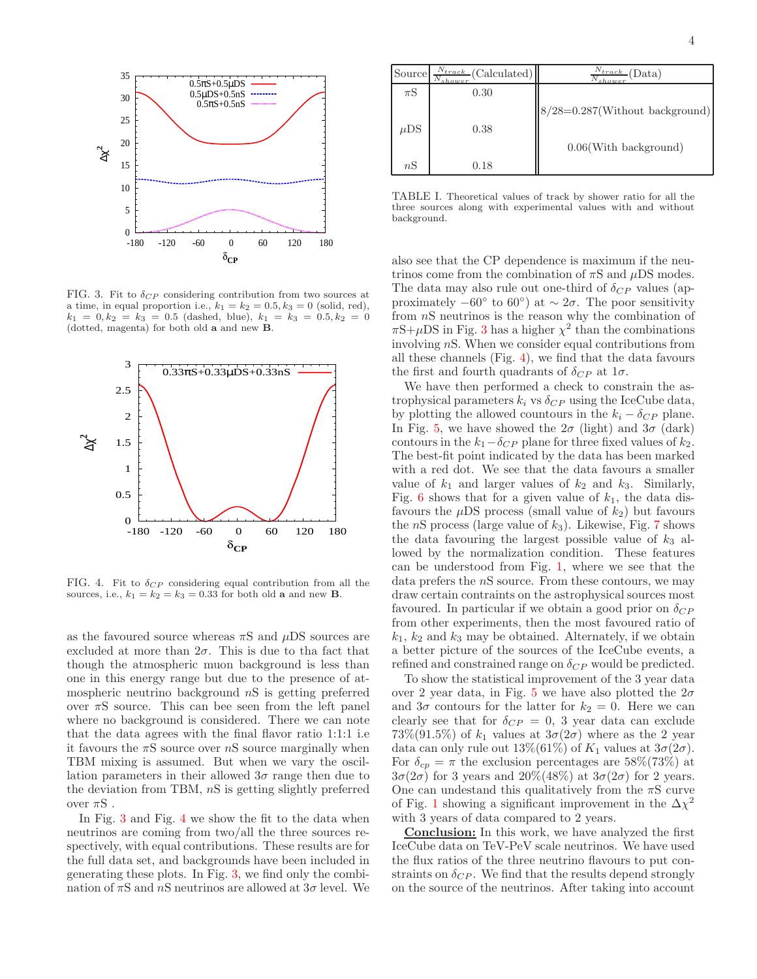

FIG. 3. Fit to  $\delta_{CP}$  considering contribution from two sources at a time, in equal proportion i.e.,  $k_1 = k_2 = 0.5$ ,  $k_3 = 0$  (solid, red),  $k_1 = 0, k_2 = k_3 = 0.5$  (dashed, blue),  $k_1 = k_3 = 0.5, k_2 = 0$ (dotted, magenta) for both old a and new B.



FIG. 4. Fit to  $\delta_{CP}$  considering equal contribution from all the sources, i.e.,  $k_1 = k_2 = k_3 = 0.33$  for both old **a** and new **B**.

as the favoured source whereas  $\pi S$  and  $\mu DS$  sources are excluded at more than  $2\sigma$ . This is due to that fact that though the atmospheric muon background is less than one in this energy range but due to the presence of atmospheric neutrino background  $nS$  is getting preferred over  $\pi S$  source. This can bee seen from the left panel where no background is considered. There we can note that the data agrees with the final flavor ratio 1:1:1 i.e it favours the  $\pi S$  source over  $nS$  source marginally when TBM mixing is assumed. But when we vary the oscillation parameters in their allowed  $3\sigma$  range then due to the deviation from TBM, nS is getting slightly preferred over  $\pi S$ .

In Fig. 3 and Fig. 4 we show the fit to the data when neutrinos are coming from two/all the three sources respectively, with equal contributions. These results are for the full data set, and backgrounds have been included in generating these plots. In Fig. 3, we find only the combination of  $\pi S$  and  $nS$  neutrinos are allowed at  $3\sigma$  level. We

| Source   | $\frac{N_{track}}{N}$ (Calculated)<br>$N_{shower}$ | $\frac{N_{track}}{N_{t, max}}$ (Data)<br>$N_{shower}$ |
|----------|----------------------------------------------------|-------------------------------------------------------|
| $\pi S$  | 0.30                                               |                                                       |
|          |                                                    | $8/28=0.287$ (Without background)                     |
| $\mu DS$ | 0.38                                               |                                                       |
|          |                                                    | $0.06$ (With background)                              |
| nS       | 0.18                                               |                                                       |

TABLE I. Theoretical values of track by shower ratio for all the three sources along with experimental values with and without background.

also see that the CP dependence is maximum if the neutrinos come from the combination of  $\pi S$  and  $\mu DS$  modes. The data may also rule out one-third of  $\delta_{CP}$  values (approximately  $-60°$  to  $60°$ ) at  $\sim 2\sigma$ . The poor sensitivity from nS neutrinos is the reason why the combination of  $\pi S + \mu DS$  in Fig. 3 has a higher  $\chi^2$  than the combinations involving nS. When we consider equal contributions from all these channels (Fig. 4), we find that the data favours the first and fourth quadrants of  $\delta_{CP}$  at  $1\sigma$ .

We have then performed a check to constrain the astrophysical parameters  $k_i$  vs  $\delta_{CP}$  using the IceCube data, by plotting the allowed countours in the  $k_i - \delta_{CP}$  plane. In Fig. 5, we have showed the  $2\sigma$  (light) and  $3\sigma$  (dark) contours in the  $k_1-\delta_{CP}$  plane for three fixed values of  $k_2$ . The best-fit point indicated by the data has been marked with a red dot. We see that the data favours a smaller value of  $k_1$  and larger values of  $k_2$  and  $k_3$ . Similarly, Fig. 6 shows that for a given value of  $k_1$ , the data disfavours the  $\mu DS$  process (small value of  $k_2$ ) but favours the  $nS$  process (large value of  $k_3$ ). Likewise, Fig. 7 shows the data favouring the largest possible value of  $k_3$  allowed by the normalization condition. These features can be understood from Fig. 1, where we see that the data prefers the nS source. From these contours, we may draw certain contraints on the astrophysical sources most favoured. In particular if we obtain a good prior on  $\delta_{CP}$ from other experiments, then the most favoured ratio of  $k_1, k_2$  and  $k_3$  may be obtained. Alternately, if we obtain a better picture of the sources of the IceCube events, a refined and constrained range on  $\delta_{CP}$  would be predicted.

To show the statistical improvement of the 3 year data over 2 year data, in Fig. 5 we have also plotted the  $2\sigma$ and  $3\sigma$  contours for the latter for  $k_2 = 0$ . Here we can clearly see that for  $\delta_{CP} = 0$ , 3 year data can exclude  $73\%(91.5\%)$  of  $k_1$  values at  $3\sigma(2\sigma)$  where as the 2 year data can only rule out  $13\%(61\%)$  of  $K_1$  values at  $3\sigma(2\sigma)$ . For  $\delta_{cp} = \pi$  the exclusion percentages are 58%(73%) at  $3\sigma(2\sigma)$  for 3 years and  $20\%(48\%)$  at  $3\sigma(2\sigma)$  for 2 years. One can undestand this qualitatively from the  $\pi S$  curve of Fig. 1 showing a significant improvement in the  $\Delta \chi^2$ with 3 years of data compared to 2 years.

Conclusion: In this work, we have analyzed the first IceCube data on TeV-PeV scale neutrinos. We have used the flux ratios of the three neutrino flavours to put constraints on  $\delta_{CP}$ . We find that the results depend strongly on the source of the neutrinos. After taking into account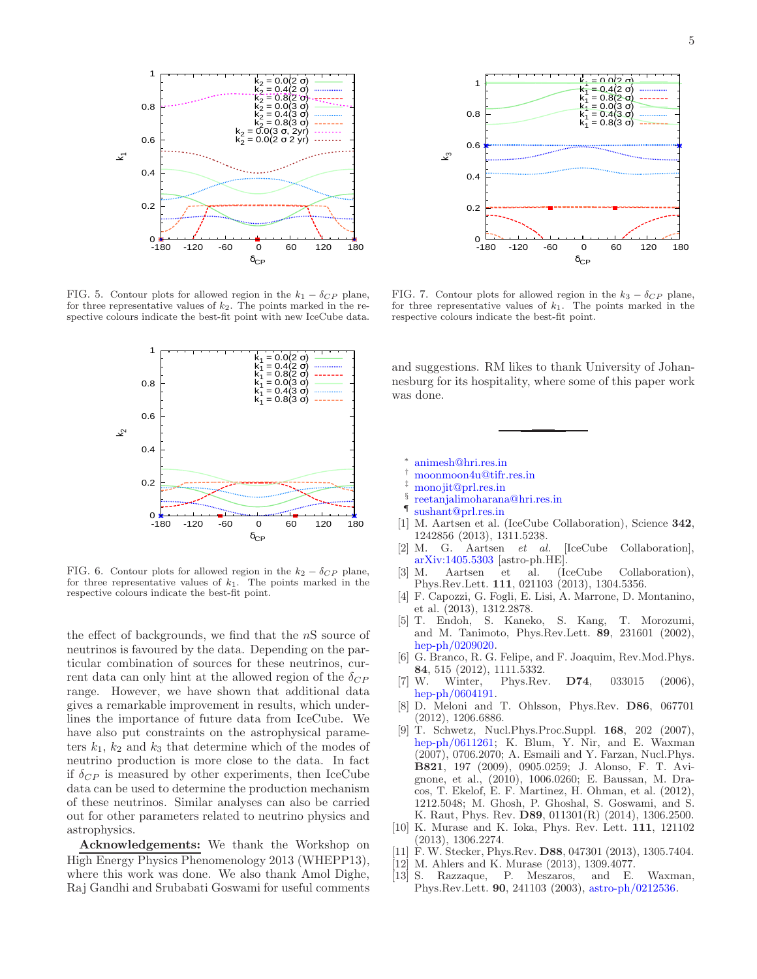

FIG. 5. Contour plots for allowed region in the  $k_1 - \delta_{CP}$  plane, for three representative values of  $k_2$ . The points marked in the respective colours indicate the best-fit point with new IceCube data.



FIG. 6. Contour plots for allowed region in the  $k_2 - \delta_{CP}$  plane, for three representative values of  $k_1$ . The points marked in the respective colours indicate the best-fit point.

the effect of backgrounds, we find that the  $nS$  source of neutrinos is favoured by the data. Depending on the particular combination of sources for these neutrinos, current data can only hint at the allowed region of the  $\delta_{CP}$ range. However, we have shown that additional data gives a remarkable improvement in results, which underlines the importance of future data from IceCube. We have also put constraints on the astrophysical parameters  $k_1$ ,  $k_2$  and  $k_3$  that determine which of the modes of neutrino production is more close to the data. In fact if  $\delta_{CP}$  is measured by other experiments, then IceCube data can be used to determine the production mechanism of these neutrinos. Similar analyses can also be carried out for other parameters related to neutrino physics and astrophysics.

Acknowledgements: We thank the Workshop on High Energy Physics Phenomenology 2013 (WHEPP13), where this work was done. We also thank Amol Dighe, Raj Gandhi and Srubabati Goswami for useful comments



FIG. 7. Contour plots for allowed region in the  $k_3 - \delta_{CP}$  plane, for three representative values of  $k_1$ . The points marked in the respective colours indicate the best-fit point.

and suggestions. RM likes to thank University of Johannesburg for its hospitality, where some of this paper work was done.

- ∗ animesh@hri.res.in
- † moonmoon4u@tifr.res.in
- monojit@prl.res.in
- § reetanjalimoharana@hri.res.in
- ¶ sushant@prl.res.in
- [1] M. Aartsen et al. (IceCube Collaboration), Science 342, 1242856 (2013), 1311.5238.
- [2] M. G. Aartsen et al. [IceCube Collaboration], arXiv:1405.5303 [astro-ph.HE].
- [3] M. Aartsen et al. (IceCube Collaboration), Phys.Rev.Lett. 111, 021103 (2013), 1304.5356.
- [4] F. Capozzi, G. Fogli, E. Lisi, A. Marrone, D. Montanino, et al. (2013), 1312.2878.
- [5] T. Endoh, S. Kaneko, S. Kang, T. Morozumi, and M. Tanimoto, Phys.Rev.Lett. 89, 231601 (2002), hep-ph/0209020.
- [6] G. Branco, R. G. Felipe, and F. Joaquim, Rev.Mod.Phys. 84, 515 (2012), 1111.5332.<br>W. Winter, Phys.Rev
- [7] W. Winter, Phys.Rev. D74, 033015 (2006), hep-ph/0604191.
- [8] D. Meloni and T. Ohlsson, Phys.Rev. D86, 067701 (2012), 1206.6886.
- [9] T. Schwetz, Nucl.Phys.Proc.Suppl. 168, 202 (2007), hep-ph/0611261; K. Blum, Y. Nir, and E. Waxman (2007), 0706.2070; A. Esmaili and Y. Farzan, Nucl.Phys. B821, 197 (2009), 0905.0259; J. Alonso, F. T. Avignone, et al., (2010), 1006.0260; E. Baussan, M. Dracos, T. Ekelof, E. F. Martinez, H. Ohman, et al. (2012), 1212.5048; M. Ghosh, P. Ghoshal, S. Goswami, and S. K. Raut, Phys. Rev. D89, 011301(R) (2014), 1306.2500.
- [10] K. Murase and K. Ioka, Phys. Rev. Lett. 111, 121102 (2013), 1306.2274.
- [11] F. W. Stecker, Phys.Rev. D88, 047301 (2013), 1305.7404.
- [12] M. Ahlers and K. Murase (2013), 1309.4077.
- [13] S. Razzaque, P. Meszaros, and E. Waxman, Phys.Rev.Lett. 90, 241103 (2003), astro-ph/0212536.